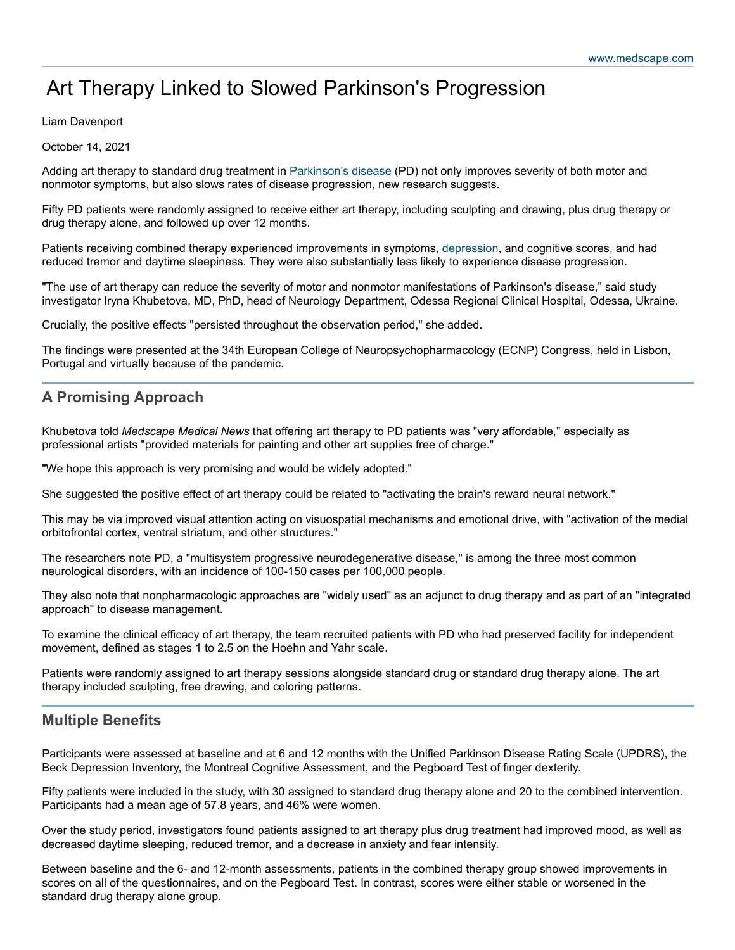# Art Therapy Linked to Slowed Parkinson's Progression

#### Liam Davenport

October 14, 2021

Adding art therapy to standard drug treatment in [Parkinson's](https://emedicine.medscape.com/article/1831191-overview) disease (PD) not only improves severity of both motor and nonmotor symptoms, but also slows rates of disease progression, new research suggests.

Fifty PD patients were randomly assigned to receive either art therapy, including sculpting and drawing, plus drug therapy or drug therapy alone, and followed up over 12 months.

Patients receiving combined therapy experienced improvements in symptoms, [depression](https://emedicine.medscape.com/article/286759-overview), and cognitive scores, and had reduced tremor and daytime sleepiness. They were also substantially less likely to experience disease progression.

"The use of art therapy can reduce the severity of motor and nonmotor manifestations of Parkinson's disease," said study investigator Iryna Khubetova, MD, PhD, head of Neurology Department, Odessa Regional Clinical Hospital, Odessa, Ukraine.

Crucially, the positive effects "persisted throughout the observation period," she added.

The findings were presented at the 34th European College of Neuropsychopharmacology (ECNP) Congress, held in Lisbon, Portugal and virtually because of the pandemic.

## **A Promising Approach**

Khubetova told *Medscape Medical News* that offering art therapy to PD patients was "very affordable," especially as professional artists "provided materials for painting and other art supplies free of charge."

"We hope this approach is very promising and would be widely adopted."

She suggested the positive effect of art therapy could be related to "activating the brain's reward neural network."

This may be via improved visual attention acting on visuospatial mechanisms and emotional drive, with "activation of the medial orbitofrontal cortex, ventral striatum, and other structures."

The researchers note PD, a "multisystem progressive neurodegenerative disease," is among the three most common neurological disorders, with an incidence of 100-150 cases per 100,000 people.

They also note that nonpharmacologic approaches are "widely used" as an adjunct to drug therapy and as part of an "integrated approach" to disease management.

To examine the clinical efficacy of art therapy, the team recruited patients with PD who had preserved facility for independent movement, defined as stages 1 to 2.5 on the Hoehn and Yahr scale.

Patients were randomly assigned to art therapy sessions alongside standard drug or standard drug therapy alone. The art therapy included sculpting, free drawing, and coloring patterns.

### **Multiple Benefits**

Participants were assessed at baseline and at 6 and 12 months with the Unified Parkinson Disease Rating Scale (UPDRS), the Beck Depression Inventory, the Montreal Cognitive Assessment, and the Pegboard Test of finger dexterity.

Fifty patients were included in the study, with 30 assigned to standard drug therapy alone and 20 to the combined intervention. Participants had a mean age of 57.8 years, and 46% were women.

Over the study period, investigators found patients assigned to art therapy plus drug treatment had improved mood, as well as decreased daytime sleeping, reduced tremor, and a decrease in anxiety and fear intensity.

Between baseline and the 6- and 12-month assessments, patients in the combined therapy group showed improvements in scores on all of the questionnaires, and on the Pegboard Test. In contrast, scores were either stable or worsened in the standard drug therapy alone group.